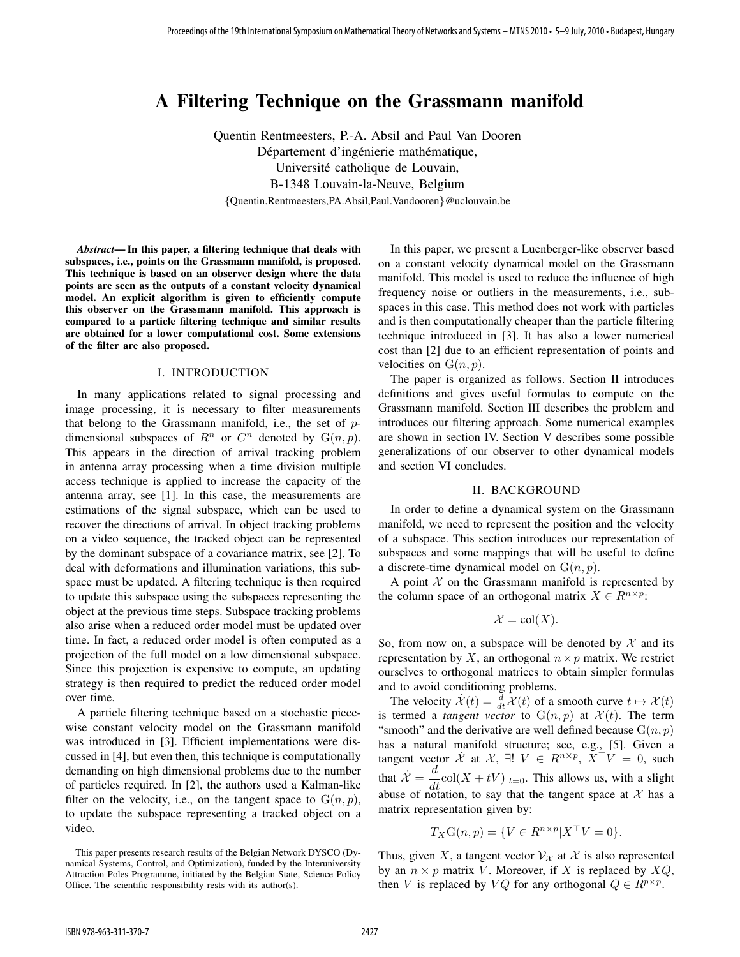# A Filtering Technique on the Grassmann manifold

Quentin Rentmeesters, P.-A. Absil and Paul Van Dooren Département d'ingénierie mathématique, Université catholique de Louvain, B-1348 Louvain-la-Neuve, Belgium {Quentin.Rentmeesters,PA.Absil,Paul.Vandooren}@uclouvain.be

Abstract— In this paper, a filtering technique that deals with subspaces, i.e., points on the Grassmann manifold, is proposed. This technique is based on an observer design where the data points are seen as the outputs of a constant velocity dynamical model. An explicit algorithm is given to efficiently compute this observer on the Grassmann manifold. This approach is compared to a particle filtering technique and similar results are obtained for a lower computational cost. Some extensions of the filter are also proposed.

# I. INTRODUCTION

In many applications related to signal processing and image processing, it is necessary to filter measurements that belong to the Grassmann manifold, i.e., the set of pdimensional subspaces of  $R^n$  or  $C^n$  denoted by  $G(n, p)$ . This appears in the direction of arrival tracking problem in antenna array processing when a time division multiple access technique is applied to increase the capacity of the antenna array, see [1]. In this case, the measurements are estimations of the signal subspace, which can be used to recover the directions of arrival. In object tracking problems on a video sequence, the tracked object can be represented by the dominant subspace of a covariance matrix, see [2]. To deal with deformations and illumination variations, this subspace must be updated. A filtering technique is then required to update this subspace using the subspaces representing the object at the previous time steps. Subspace tracking problems also arise when a reduced order model must be updated over time. In fact, a reduced order model is often computed as a projection of the full model on a low dimensional subspace. Since this projection is expensive to compute, an updating strategy is then required to predict the reduced order model over time.

A particle filtering technique based on a stochastic piecewise constant velocity model on the Grassmann manifold was introduced in [3]. Efficient implementations were discussed in [4], but even then, this technique is computationally demanding on high dimensional problems due to the number of particles required. In [2], the authors used a Kalman-like filter on the velocity, i.e., on the tangent space to  $G(n, p)$ , to update the subspace representing a tracked object on a video.

In this paper, we present a Luenberger-like observer based on a constant velocity dynamical model on the Grassmann manifold. This model is used to reduce the influence of high frequency noise or outliers in the measurements, i.e., subspaces in this case. This method does not work with particles and is then computationally cheaper than the particle filtering technique introduced in [3]. It has also a lower numerical cost than [2] due to an efficient representation of points and velocities on  $G(n, p)$ .

The paper is organized as follows. Section II introduces definitions and gives useful formulas to compute on the Grassmann manifold. Section III describes the problem and introduces our filtering approach. Some numerical examples are shown in section IV. Section V describes some possible generalizations of our observer to other dynamical models and section VI concludes.

# II. BACKGROUND

In order to define a dynamical system on the Grassmann manifold, we need to represent the position and the velocity of a subspace. This section introduces our representation of subspaces and some mappings that will be useful to define a discrete-time dynamical model on  $G(n, p)$ .

A point  $X$  on the Grassmann manifold is represented by the column space of an orthogonal matrix  $X \in R^{n \times p}$ :

$$
\mathcal{X} = \text{col}(X).
$$

So, from now on, a subspace will be denoted by  $\mathcal X$  and its representation by X, an orthogonal  $n \times p$  matrix. We restrict ourselves to orthogonal matrices to obtain simpler formulas and to avoid conditioning problems.

The velocity  $\dot{\mathcal{X}}(t) = \frac{d}{dt} \mathcal{X}(t)$  of a smooth curve  $t \mapsto \mathcal{X}(t)$ is termed a *tangent vector* to  $G(n, p)$  at  $\mathcal{X}(t)$ . The term "smooth" and the derivative are well defined because  $G(n, p)$ has a natural manifold structure; see, e.g., [5]. Given a tangent vector  $\dot{\mathcal{X}}$  at  $\mathcal{X}, \exists ! \; V \in R^{n \times p}, X^{\top}V = 0$ , such that  $\mathcal{X} = \frac{d}{dt} \text{col}(X + tV)|_{t=0}$ . This allows us, with a slight abuse of notation, to say that the tangent space at  $\mathcal X$  has a matrix representation given by:

$$
T_X\mathcal{G}(n,p) = \{ V \in R^{n \times p} | X^\top V = 0 \}.
$$

Thus, given X, a tangent vector  $V_{\mathcal{X}}$  at X is also represented by an  $n \times p$  matrix V. Moreover, if X is replaced by  $XQ$ , then V is replaced by VQ for any orthogonal  $Q \in R^{p \times p}$ .

This paper presents research results of the Belgian Network DYSCO (Dynamical Systems, Control, and Optimization), funded by the Interuniversity Attraction Poles Programme, initiated by the Belgian State, Science Policy Office. The scientific responsibility rests with its author(s).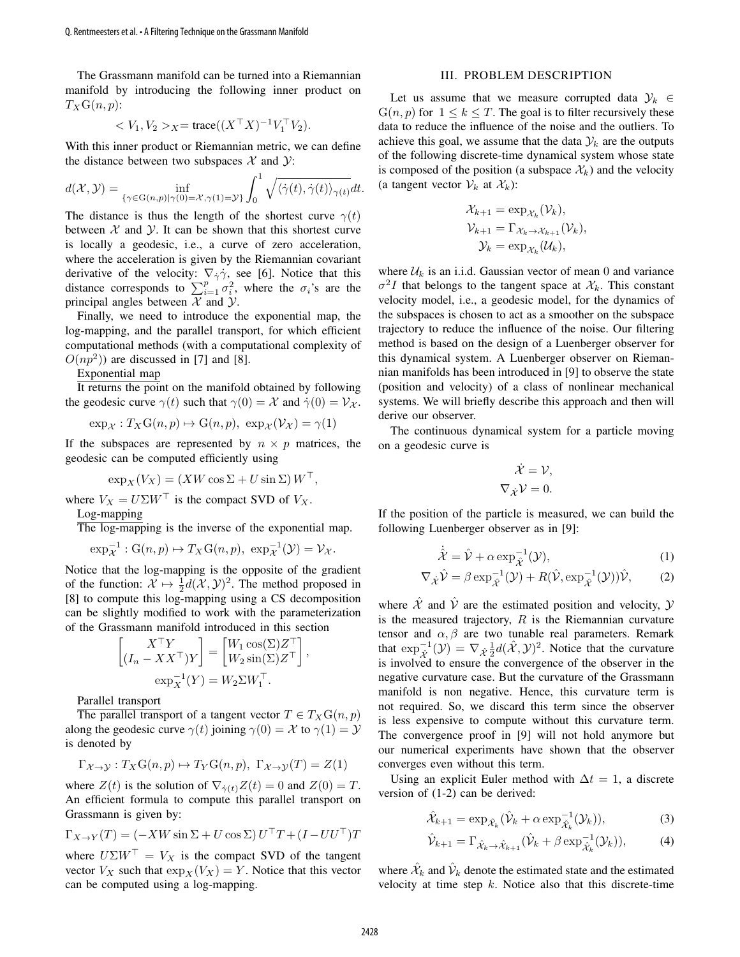The Grassmann manifold can be turned into a Riemannian manifold by introducing the following inner product on  $T_X\mathrm{G}(n,p)$ :

$$
\langle V_1, V_2 \rangle_X = \text{trace}((X^\top X)^{-1} V_1^\top V_2).
$$

With this inner product or Riemannian metric, we can define the distance between two subspaces  $X$  and  $Y$ :

$$
d(\mathcal{X}, \mathcal{Y}) = \inf_{\{\gamma \in \mathcal{G}(n, p) \mid \gamma(0) = \mathcal{X}, \gamma(1) = \mathcal{Y}\}} \int_0^1 \sqrt{\langle \dot{\gamma}(t), \dot{\gamma}(t) \rangle_{\gamma(t)}} dt.
$$

The distance is thus the length of the shortest curve  $\gamma(t)$ between  $X$  and  $Y$ . It can be shown that this shortest curve is locally a geodesic, i.e., a curve of zero acceleration, where the acceleration is given by the Riemannian covariant derivative of the velocity:  $\nabla_{\dot{\gamma}} \dot{\gamma}$ , see [6]. Notice that this distance corresponds to  $\sum_{i=1}^{p} \sigma_i^2$ , where the  $\sigma_i$ 's are the principal angles between  $X$  and  $Y$ . Q. Rentmeesters et al. • A Filtering Technique on the Grassmann Manifold 2428

Finally, we need to introduce the exponential map, the log-mapping, and the parallel transport, for which efficient computational methods (with a computational complexity of  $O(np^2)$  are discussed in [7] and [8].

Exponential map

It returns the point on the manifold obtained by following the geodesic curve  $\gamma(t)$  such that  $\gamma(0) = \mathcal{X}$  and  $\dot{\gamma}(0) = \mathcal{V}_{\mathcal{X}}$ .

$$
\exp_{\mathcal{X}} : T_X \mathcal{G}(n, p) \mapsto \mathcal{G}(n, p), \ \exp_{\mathcal{X}}(\mathcal{V}_{\mathcal{X}}) = \gamma(1)
$$

If the subspaces are represented by  $n \times p$  matrices, the geodesic can be computed efficiently using

$$
\exp_X(V_X) = (XW \cos \Sigma + U \sin \Sigma) W^{\top},
$$

where  $V_X = U\Sigma W^{\top}$  is the compact SVD of  $V_X$ . Log-mapping

The log-mapping is the inverse of the exponential map.

$$
\exp_{\mathcal{X}}^{-1}: G(n,p) \mapsto T_X G(n,p), \ \exp_{\mathcal{X}}^{-1}(\mathcal{Y}) = \mathcal{V}_{\mathcal{X}}.
$$

Notice that the log-mapping is the opposite of the gradient of the function:  $\mathcal{X} \mapsto \frac{1}{2}d(\mathcal{X}, \mathcal{Y})^2$ . The method proposed in [8] to compute this log-mapping using a CS decomposition can be slightly modified to work with the parameterization of the Grassmann manifold introduced in this section

$$
\begin{bmatrix} X^{\top}Y \\ (I_n - XX^{\top})Y \end{bmatrix} = \begin{bmatrix} W_1 \cos(\Sigma)Z^{\top} \\ W_2 \sin(\Sigma)Z^{\top} \end{bmatrix},
$$

$$
\exp_X^{-1}(Y) = W_2 \Sigma W_1^{\top}.
$$

Parallel transport

The parallel transport of a tangent vector  $T \in T_X \mathcal{G}(n, p)$ along the geodesic curve  $\gamma(t)$  joining  $\gamma(0) = \mathcal{X}$  to  $\gamma(1) = \mathcal{Y}$ is denoted by

$$
\Gamma_{\mathcal{X}\to\mathcal{Y}}: T_X\mathcal{G}(n,p)\mapsto T_Y\mathcal{G}(n,p),\ \Gamma_{\mathcal{X}\to\mathcal{Y}}(T)=Z(1)
$$

where  $Z(t)$  is the solution of  $\nabla_{\dot{\gamma}(t)}Z(t) = 0$  and  $Z(0) = T$ . An efficient formula to compute this parallel transport on Grassmann is given by:

$$
\Gamma_{X \to Y}(T) = (-XW \sin \Sigma + U \cos \Sigma) U^{\top} T + (I - UU^{\top})T
$$

where  $U\Sigma W^{\dagger} = V_X$  is the compact SVD of the tangent vector  $V_X$  such that  $\exp_X(V_X) = Y$ . Notice that this vector can be computed using a log-mapping.

#### III. PROBLEM DESCRIPTION

Let us assume that we measure corrupted data  $\mathcal{Y}_k \in$  $G(n, p)$  for  $1 \leq k \leq T$ . The goal is to filter recursively these data to reduce the influence of the noise and the outliers. To achieve this goal, we assume that the data  $\mathcal{Y}_k$  are the outputs of the following discrete-time dynamical system whose state is composed of the position (a subspace  $\mathcal{X}_k$ ) and the velocity (a tangent vector  $V_k$  at  $\mathcal{X}_k$ ):

$$
\mathcal{X}_{k+1} = \exp_{\mathcal{X}_k}(\mathcal{V}_k),
$$
  

$$
\mathcal{V}_{k+1} = \Gamma_{\mathcal{X}_k \to \mathcal{X}_{k+1}}(\mathcal{V}_k),
$$
  

$$
\mathcal{Y}_k = \exp_{\mathcal{X}_k}(\mathcal{U}_k),
$$

where  $\mathcal{U}_k$  is an i.i.d. Gaussian vector of mean 0 and variance  $\sigma^2 I$  that belongs to the tangent space at  $\mathcal{X}_k$ . This constant velocity model, i.e., a geodesic model, for the dynamics of the subspaces is chosen to act as a smoother on the subspace trajectory to reduce the influence of the noise. Our filtering method is based on the design of a Luenberger observer for this dynamical system. A Luenberger observer on Riemannian manifolds has been introduced in [9] to observe the state (position and velocity) of a class of nonlinear mechanical systems. We will briefly describe this approach and then will derive our observer.

The continuous dynamical system for a particle moving on a geodesic curve is

$$
\dot{\mathcal{X}} = \mathcal{V},
$$
  

$$
\nabla_{\dot{\mathcal{X}}} \mathcal{V} = 0.
$$

If the position of the particle is measured, we can build the following Luenberger observer as in [9]:

$$
\dot{\hat{\mathcal{X}}} = \hat{\mathcal{V}} + \alpha \exp_{\hat{\mathcal{X}}}^{-1}(\mathcal{Y}),\tag{1}
$$

$$
\nabla_{\dot{\mathcal{X}}}\hat{\mathcal{V}} = \beta \exp_{\hat{\mathcal{X}}}^{-1}(\mathcal{Y}) + R(\hat{\mathcal{V}}, \exp_{\hat{\mathcal{X}}}^{-1}(\mathcal{Y}))\hat{\mathcal{V}},
$$
 (2)

where  $\hat{\mathcal{X}}$  and  $\hat{\mathcal{V}}$  are the estimated position and velocity,  $\hat{\mathcal{Y}}$ is the measured trajectory,  $R$  is the Riemannian curvature tensor and  $\alpha$ ,  $\beta$  are two tunable real parameters. Remark that  $\exp_{\lambda}^{-1}(\mathcal{Y}) = \nabla_{\lambda} \frac{1}{2} d(\hat{\mathcal{X}}, \mathcal{Y})^2$ . Notice that the curvature is involved to ensure the convergence of the observer in the negative curvature case. But the curvature of the Grassmann manifold is non negative. Hence, this curvature term is not required. So, we discard this term since the observer is less expensive to compute without this curvature term. The convergence proof in [9] will not hold anymore but our numerical experiments have shown that the observer converges even without this term.

Using an explicit Euler method with  $\Delta t = 1$ , a discrete version of (1-2) can be derived:

$$
\hat{\mathcal{X}}_{k+1} = \exp_{\hat{\mathcal{X}}_k} (\hat{\mathcal{V}}_k + \alpha \exp_{\hat{\mathcal{X}}_k}^{-1} (\mathcal{Y}_k)), \tag{3}
$$

$$
\hat{\mathcal{V}}_{k+1} = \Gamma_{\hat{\mathcal{X}}_k \to \hat{\mathcal{X}}_{k+1}} (\hat{\mathcal{V}}_k + \beta \exp_{\hat{\mathcal{X}}_k}^{-1} (\mathcal{Y}_k)), \tag{4}
$$

where  $\hat{\mathcal{X}}_k$  and  $\hat{\mathcal{V}}_k$  denote the estimated state and the estimated velocity at time step  $k$ . Notice also that this discrete-time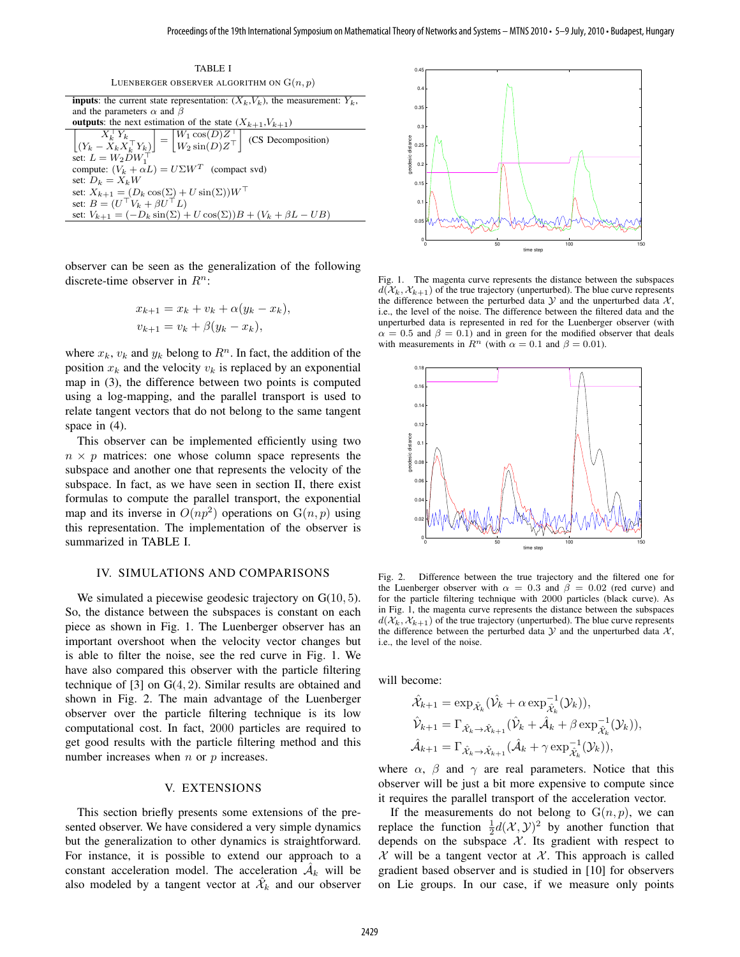TABLE I LUENBERGER OBSERVER ALGORITHM ON  $G(n, p)$ 

| <b>inputs</b> : the current state representation: $(X_k, V_k)$ , the measurement: $Y_k$ ,                                                                            |
|----------------------------------------------------------------------------------------------------------------------------------------------------------------------|
| and the parameters $\alpha$ and $\beta$                                                                                                                              |
| <b>outputs</b> : the next estimation of the state $(X_{k+1}, V_{k+1})$                                                                                               |
| $\begin{bmatrix} X_k^\top Y_k \\ (Y_k - X_k X_k^\top Y_k) \end{bmatrix} = \begin{bmatrix} W_1 \cos(D) Z^\top \\ W_2 \sin(D) Z^\top \end{bmatrix}$ (CS Decomposition) |
| set: $L = W_2 D W_1^{\top}$                                                                                                                                          |
| compute: $(V_k + \alpha L) = U\Sigma W^T$ (compact svd)                                                                                                              |
| set: $D_k = X_k W$                                                                                                                                                   |
| set: $X_{k+1} = (D_k \cos(\Sigma) + U \sin(\Sigma)) W^{\top}$                                                                                                        |
| set: $B = (U^{\top} V_k + \beta U^{\top} L)$                                                                                                                         |
| set: $V_{k+1} = (-D_k \sin(\Sigma) + U \cos(\Sigma))B + (V_k + \beta L - UB)$                                                                                        |
|                                                                                                                                                                      |

observer can be seen as the generalization of the following discrete-time observer in  $R^n$ :

$$
x_{k+1} = x_k + v_k + \alpha(y_k - x_k),
$$
  

$$
v_{k+1} = v_k + \beta(y_k - x_k),
$$

where  $x_k$ ,  $v_k$  and  $y_k$  belong to  $R^n$ . In fact, the addition of the position  $x_k$  and the velocity  $v_k$  is replaced by an exponential map in (3), the difference between two points is computed using a log-mapping, and the parallel transport is used to relate tangent vectors that do not belong to the same tangent space in (4).

This observer can be implemented efficiently using two  $n \times p$  matrices: one whose column space represents the subspace and another one that represents the velocity of the subspace. In fact, as we have seen in section II, there exist formulas to compute the parallel transport, the exponential map and its inverse in  $O(np^2)$  operations on  $G(n, p)$  using this representation. The implementation of the observer is summarized in TABLE I.

## IV. SIMULATIONS AND COMPARISONS

We simulated a piecewise geodesic trajectory on  $G(10, 5)$ . So, the distance between the subspaces is constant on each piece as shown in Fig. 1. The Luenberger observer has an important overshoot when the velocity vector changes but is able to filter the noise, see the red curve in Fig. 1. We have also compared this observer with the particle filtering technique of  $[3]$  on  $G(4, 2)$ . Similar results are obtained and shown in Fig. 2. The main advantage of the Luenberger observer over the particle filtering technique is its low computational cost. In fact, 2000 particles are required to get good results with the particle filtering method and this number increases when  $n$  or  $p$  increases.

### V. EXTENSIONS

This section briefly presents some extensions of the presented observer. We have considered a very simple dynamics but the generalization to other dynamics is straightforward. For instance, it is possible to extend our approach to a constant acceleration model. The acceleration  $A_k$  will be also modeled by a tangent vector at  $\hat{\mathcal{X}}_k$  and our observer



Fig. 1. The magenta curve represents the distance between the subspaces  $d(\mathcal{X}_k, \mathcal{X}_{k+1})$  of the true trajectory (unperturbed). The blue curve represents the difference between the perturbed data  $Y$  and the unperturbed data  $X$ , i.e., the level of the noise. The difference between the filtered data and the unperturbed data is represented in red for the Luenberger observer (with  $\alpha = 0.5$  and  $\beta = 0.1$ ) and in green for the modified observer that deals with measurements in  $R^n$  (with  $\alpha = 0.1$  and  $\beta = 0.01$ ).



Fig. 2. Difference between the true trajectory and the filtered one for the Luenberger observer with  $\alpha = 0.3$  and  $\beta = 0.02$  (red curve) and for the particle filtering technique with 2000 particles (black curve). As in Fig. 1, the magenta curve represents the distance between the subspaces  $d(\mathcal{X}_k, \mathcal{X}_{k+1})$  of the true trajectory (unperturbed). The blue curve represents the difference between the perturbed data  $\mathcal Y$  and the unperturbed data  $\mathcal X$ , i.e., the level of the noise.

will become:

$$
\hat{\mathcal{X}}_{k+1} = \exp_{\hat{\mathcal{X}}_k} (\hat{\mathcal{V}}_k + \alpha \exp_{\hat{\mathcal{X}}_k}^{-1} (\mathcal{Y}_k)),
$$
  

$$
\hat{\mathcal{V}}_{k+1} = \Gamma_{\hat{\mathcal{X}}_k \to \hat{\mathcal{X}}_{k+1}} (\hat{\mathcal{V}}_k + \hat{\mathcal{A}}_k + \beta \exp_{\hat{\mathcal{X}}_k}^{-1} (\mathcal{Y}_k)),
$$
  

$$
\hat{\mathcal{A}}_{k+1} = \Gamma_{\hat{\mathcal{X}}_k \to \hat{\mathcal{X}}_{k+1}} (\hat{\mathcal{A}}_k + \gamma \exp_{\hat{\mathcal{X}}_k}^{-1} (\mathcal{Y}_k)),
$$

where  $\alpha$ ,  $\beta$  and  $\gamma$  are real parameters. Notice that this observer will be just a bit more expensive to compute since it requires the parallel transport of the acceleration vector.

If the measurements do not belong to  $G(n, p)$ , we can replace the function  $\frac{1}{2}d(\mathcal{X}, \mathcal{Y})^2$  by another function that depends on the subspace  $X$ . Its gradient with respect to  $X$  will be a tangent vector at  $X$ . This approach is called gradient based observer and is studied in [10] for observers on Lie groups. In our case, if we measure only points